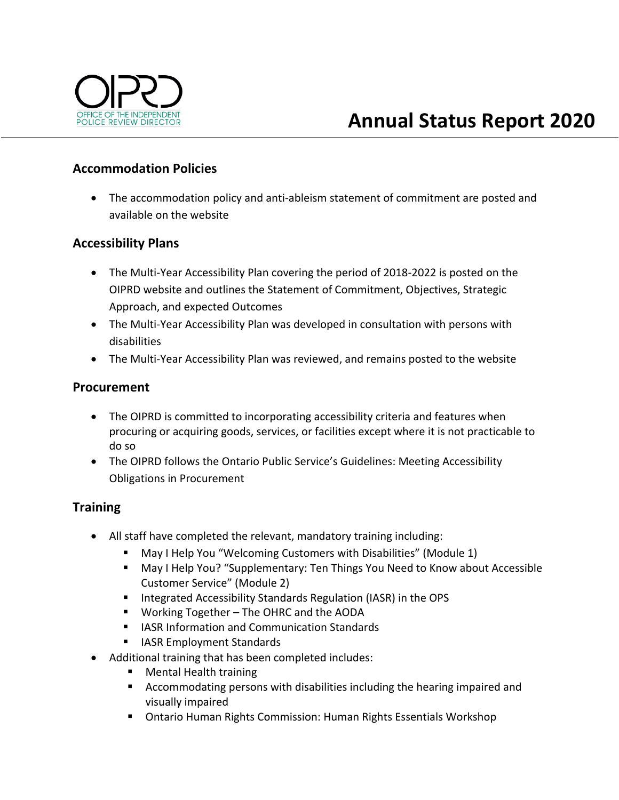

## **Accommodation Policies**

 The accommodation policy and anti‐ableism statement of commitment are posted and available on the website

### **Accessibility Plans**

- The Multi‐Year Accessibility Plan covering the period of 2018‐2022 is posted on the OIPRD website and outlines the Statement of Commitment, Objectives, Strategic Approach, and expected Outcomes
- The Multi‐Year Accessibility Plan was developed in consultation with persons with disabilities
- The Multi-Year Accessibility Plan was reviewed, and remains posted to the website

### **Procurement**

- The OIPRD is committed to incorporating accessibility criteria and features when procuring or acquiring goods, services, or facilities except where it is not practicable to do so
- The OIPRD follows the Ontario Public Service's Guidelines: Meeting Accessibility Obligations in Procurement

# **Training**

- All staff have completed the relevant, mandatory training including:
	- May I Help You "Welcoming Customers with Disabilities" (Module 1)
	- May I Help You? "Supplementary: Ten Things You Need to Know about Accessible Customer Service" (Module 2)
	- **Integrated Accessibility Standards Regulation (IASR) in the OPS**
	- Working Together The OHRC and the AODA
	- **IFILASR Information and Communication Standards**
	- **I** IASR Employment Standards
- Additional training that has been completed includes:
	- Mental Health training
	- Accommodating persons with disabilities including the hearing impaired and visually impaired
	- Ontario Human Rights Commission: Human Rights Essentials Workshop